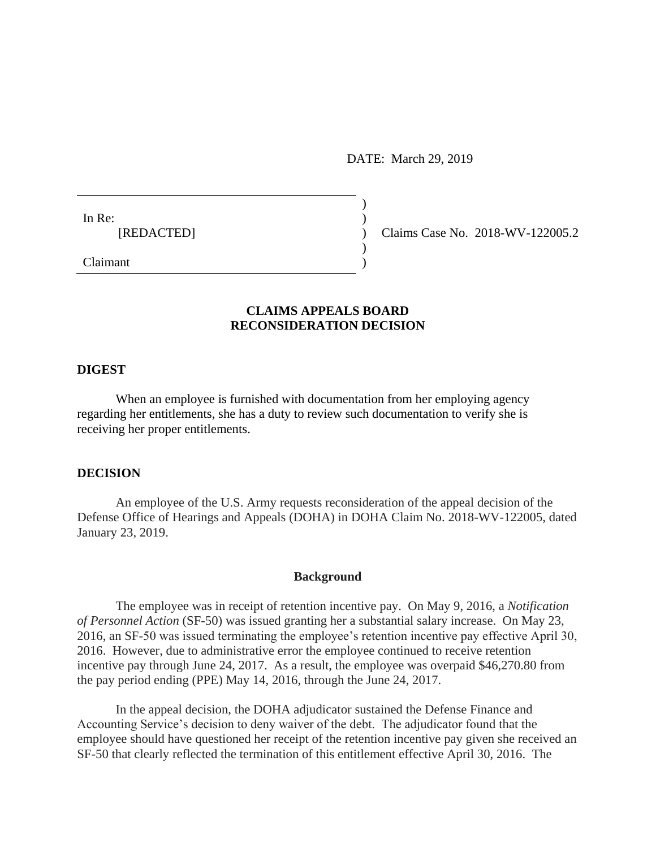DATE: March 29, 2019

) ) ) ) )

In Re: [REDACTED]

Claims Case No. 2018-WV-122005.2

Claimant

# **CLAIMS APPEALS BOARD RECONSIDERATION DECISION**

#### **DIGEST**

When an employee is furnished with documentation from her employing agency regarding her entitlements, she has a duty to review such documentation to verify she is receiving her proper entitlements.

### **DECISION**

An employee of the U.S. Army requests reconsideration of the appeal decision of the Defense Office of Hearings and Appeals (DOHA) in DOHA Claim No. 2018-WV-122005, dated January 23, 2019.

### **Background**

The employee was in receipt of retention incentive pay. On May 9, 2016, a *Notification of Personnel Action* (SF-50) was issued granting her a substantial salary increase. On May 23, 2016, an SF-50 was issued terminating the employee's retention incentive pay effective April 30, 2016. However, due to administrative error the employee continued to receive retention incentive pay through June 24, 2017. As a result, the employee was overpaid \$46,270.80 from the pay period ending (PPE) May 14, 2016, through the June 24, 2017.

In the appeal decision, the DOHA adjudicator sustained the Defense Finance and Accounting Service's decision to deny waiver of the debt. The adjudicator found that the employee should have questioned her receipt of the retention incentive pay given she received an SF-50 that clearly reflected the termination of this entitlement effective April 30, 2016. The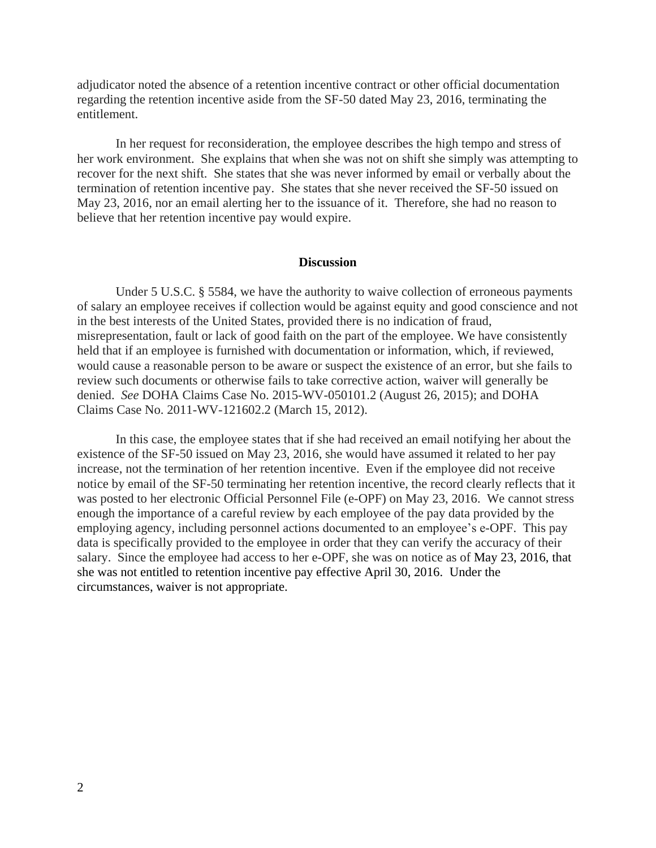adjudicator noted the absence of a retention incentive contract or other official documentation regarding the retention incentive aside from the SF-50 dated May 23, 2016, terminating the entitlement.

In her request for reconsideration, the employee describes the high tempo and stress of her work environment. She explains that when she was not on shift she simply was attempting to recover for the next shift. She states that she was never informed by email or verbally about the termination of retention incentive pay. She states that she never received the SF-50 issued on May 23, 2016, nor an email alerting her to the issuance of it. Therefore, she had no reason to believe that her retention incentive pay would expire.

## **Discussion**

Under 5 U.S.C. § 5584, we have the authority to waive collection of erroneous payments of salary an employee receives if collection would be against equity and good conscience and not in the best interests of the United States, provided there is no indication of fraud, misrepresentation, fault or lack of good faith on the part of the employee. We have consistently held that if an employee is furnished with documentation or information, which, if reviewed, would cause a reasonable person to be aware or suspect the existence of an error, but she fails to review such documents or otherwise fails to take corrective action, waiver will generally be denied. *See* DOHA Claims Case No. 2015-WV-050101.2 (August 26, 2015); and DOHA Claims Case No. 2011-WV-121602.2 (March 15, 2012).

In this case, the employee states that if she had received an email notifying her about the existence of the SF-50 issued on May 23, 2016, she would have assumed it related to her pay increase, not the termination of her retention incentive. Even if the employee did not receive notice by email of the SF-50 terminating her retention incentive, the record clearly reflects that it was posted to her electronic Official Personnel File (e-OPF) on May 23, 2016. We cannot stress enough the importance of a careful review by each employee of the pay data provided by the employing agency, including personnel actions documented to an employee's e-OPF. This pay data is specifically provided to the employee in order that they can verify the accuracy of their salary. Since the employee had access to her e-OPF, she was on notice as of May 23, 2016, that she was not entitled to retention incentive pay effective April 30, 2016. Under the circumstances, waiver is not appropriate.